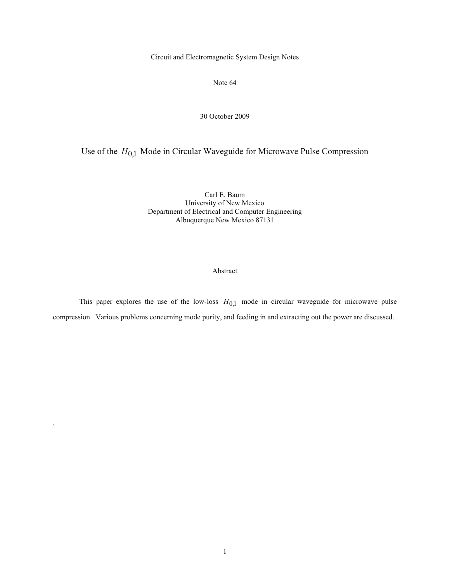Circuit and Electromagnetic System Design Notes

Note 64

#### 30 October 2009

# Use of the *H*0,1 Mode in Circular Waveguide for Microwave Pulse Compression

Carl E. Baum University of New Mexico Department of Electrical and Computer Engineering Albuquerque New Mexico 87131

# Abstract

This paper explores the use of the low-loss  $H_{0,1}$  mode in circular waveguide for microwave pulse compression. Various problems concerning mode purity, and feeding in and extracting out the power are discussed.

`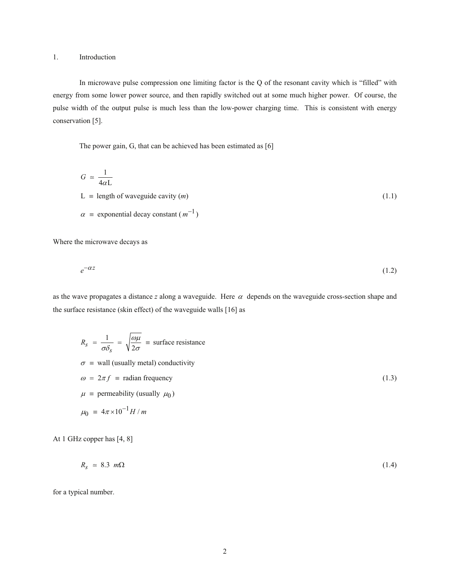### 1. Introduction

 In microwave pulse compression one limiting factor is the Q of the resonant cavity which is "filled" with energy from some lower power source, and then rapidly switched out at some much higher power. Of course, the pulse width of the output pulse is much less than the low-power charging time. This is consistent with energy conservation [5].

The power gain, G, that can be achieved has been estimated as [6]

$$
G \approx \frac{1}{4\alpha L}
$$
  
\nL = length of waveguide cavity (*m*)  
\n
$$
\alpha = \text{exponential decay constant } (m^{-1})
$$
\n(1.1)

Where the microwave decays as

$$
e^{-\alpha z} \tag{1.2}
$$

as the wave propagates a distance  $z$  along a waveguide. Here  $\alpha$  depends on the waveguide cross-section shape and the surface resistance (skin effect) of the waveguide walls [16] as

$$
R_{s} = \frac{1}{\sigma \delta_{s}} = \sqrt{\frac{\omega \mu}{2\sigma}} \equiv \text{surface resistance}
$$
  
\n
$$
\sigma \equiv \text{wall (usually metal) conductivity}
$$
  
\n
$$
\omega = 2\pi f \equiv \text{radian frequency}
$$
  
\n
$$
\mu \equiv \text{permeability (usually } \mu_0)
$$
  
\n
$$
\mu_0 \equiv 4\pi \times 10^{-1} H/m
$$

At 1 GHz copper has [4, 8]

$$
R_s \approx 8.3 \, m\Omega \tag{1.4}
$$

for a typical number.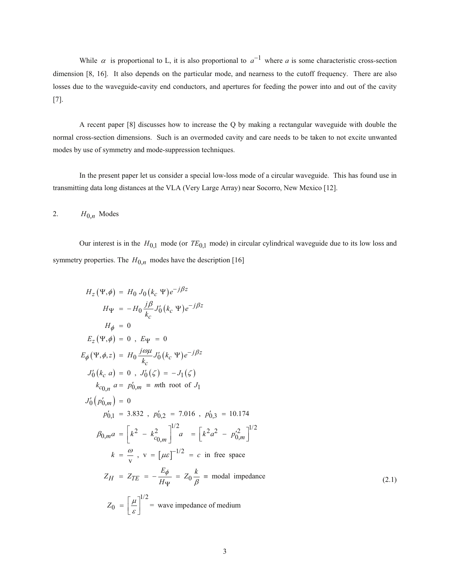While  $\alpha$  is proportional to L, it is also proportional to  $a^{-1}$  where a is some characteristic cross-section dimension [8, 16]. It also depends on the particular mode, and nearness to the cutoff frequency. There are also losses due to the waveguide-cavity end conductors, and apertures for feeding the power into and out of the cavity [7].

 A recent paper [8] discusses how to increase the Q by making a rectangular waveguide with double the normal cross-section dimensions. Such is an overmoded cavity and care needs to be taken to not excite unwanted modes by use of symmetry and mode-suppression techniques.

 In the present paper let us consider a special low-loss mode of a circular waveguide. This has found use in transmitting data long distances at the VLA (Very Large Array) near Socorro, New Mexico [12].

2.  $H_{0,n}$  Modes

Our interest is in the  $H_{0,1}$  mode (or  $TE_{0,1}$  mode) in circular cylindrical waveguide due to its low loss and symmetry properties. The  $H_{0,n}$  modes have the description [16]

$$
H_z(\Psi, \phi) = H_0 J_0 (k_c \Psi) e^{-j\beta z}
$$
  
\n
$$
H_{\Psi} = -H_0 \frac{j\beta}{k_c} J'_0 (k_c \Psi) e^{-j\beta z}
$$
  
\n
$$
H_{\phi} = 0
$$
  
\n
$$
E_z (\Psi, \phi) = 0, E_{\Psi} = 0
$$
  
\n
$$
E_{\phi} (\Psi, \phi, z) = H_0 \frac{j\omega \mu}{k_c} J'_0 (k_c \Psi) e^{-j\beta z}
$$
  
\n
$$
J'_0 (k_c a) = 0, J'_0 (\zeta) = -J_1 (\zeta)
$$
  
\n
$$
k_{c_{0,n}} a = p'_{0,m} = m\text{th root of } J_1
$$
  
\n
$$
J'_0 (p'_{0,m}) = 0
$$
  
\n
$$
p'_{0,1} = 3.832, p'_{0,2} = 7.016, p'_{0,3} = 10.174
$$
  
\n
$$
\beta_{0,m} a = \left[ k^2 - k_{c_{0,m}}^2 \right]^{1/2} a = \left[ k^2 a^2 - p'_{0,m}^2 \right]^{1/2}
$$
  
\n
$$
k = \frac{\omega}{v}, v = [\mu \varepsilon]^{-1/2} = c \text{ in free space}
$$
  
\n
$$
Z_H = Z_{TE} = -\frac{E_{\phi}}{H_{\Psi}} = Z_0 \frac{k}{\beta} = \text{modal impedance}
$$
  
\n
$$
Z_0 = \left[ \frac{\mu}{\varepsilon} \right]^{1/2} = \text{wave impedance of medium}
$$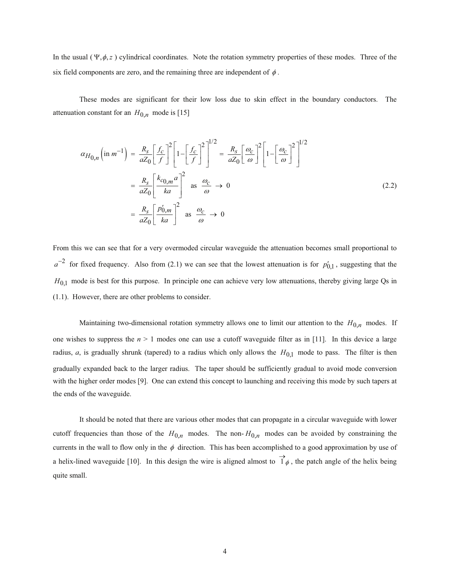In the usual ( $\Psi$ , $\phi$ , $z$ ) cylindrical coordinates. Note the rotation symmetry properties of these modes. Three of the six field components are zero, and the remaining three are independent of  $\phi$ .

 These modes are significant for their low loss due to skin effect in the boundary conductors. The attenuation constant for an  $H_{0,n}$  mode is [15]

$$
\alpha_{H_{0,n}}\left(\text{in } m^{-1}\right) = \frac{R_s}{aZ_0} \left[\frac{f_c}{f}\right]^2 \left[1 - \left[\frac{f_c}{f}\right]^2\right]^{1/2} = \frac{R_s}{aZ_0} \left[\frac{\omega_c}{\omega}\right]^2 \left[1 - \left[\frac{\omega_c}{\omega}\right]^2\right]^{1/2}
$$

$$
= \frac{R_s}{aZ_0} \left[\frac{k_{c_{0,m}}a}{ka}\right]^2 \quad \text{as } \frac{\omega_c}{\omega} \to 0
$$

$$
= \frac{R_s}{aZ_0} \left[\frac{p'_{0,m}}{ka}\right]^2 \quad \text{as } \frac{\omega_c}{\omega} \to 0
$$

From this we can see that for a very overmoded circular waveguide the attenuation becomes small proportional to  $a^{-2}$  for fixed frequency. Also from (2.1) we can see that the lowest attenuation is for  $p'_{0,1}$ , suggesting that the *H*<sub>0,1</sub> mode is best for this purpose. In principle one can achieve very low attenuations, thereby giving large Qs in (1.1). However, there are other problems to consider.

Maintaining two-dimensional rotation symmetry allows one to limit our attention to the  $H_{0,n}$  modes. If one wishes to suppress the  $n > 1$  modes one can use a cutoff waveguide filter as in [11]. In this device a large radius, *a*, is gradually shrunk (tapered) to a radius which only allows the  $H_{0,1}$  mode to pass. The filter is then gradually expanded back to the larger radius. The taper should be sufficiently gradual to avoid mode conversion with the higher order modes [9]. One can extend this concept to launching and receiving this mode by such tapers at the ends of the waveguide.

 It should be noted that there are various other modes that can propagate in a circular waveguide with lower cutoff frequencies than those of the  $H_{0,n}$  modes. The non- $H_{0,n}$  modes can be avoided by constraining the currents in the wall to flow only in the  $\phi$  direction. This has been accomplished to a good approximation by use of a helix-lined waveguide [10]. In this design the wire is aligned almost to  $1\phi$  $\rightarrow$ , the patch angle of the helix being quite small.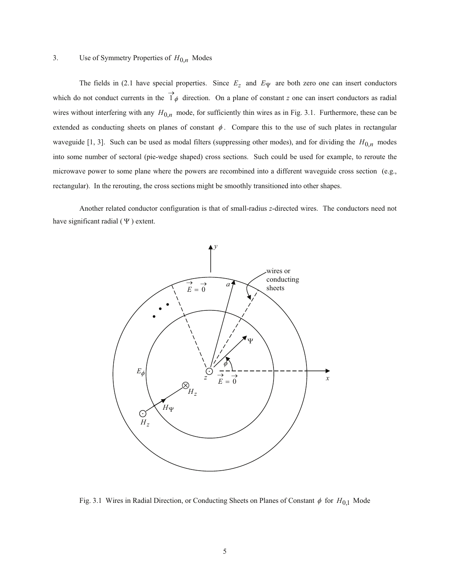# 3. Use of Symmetry Properties of *H*0,*n* Modes

The fields in (2.1 have special properties. Since  $E_z$  and  $E_\Psi$  are both zero one can insert conductors which do not conduct currents in the  $1\phi$  $\rightarrow$  direction. On a plane of constant *z* one can insert conductors as radial wires without interfering with any  $H_{0,n}$  mode, for sufficiently thin wires as in Fig. 3.1. Furthermore, these can be extended as conducting sheets on planes of constant  $\phi$ . Compare this to the use of such plates in rectangular waveguide [1, 3]. Such can be used as modal filters (suppressing other modes), and for dividing the  $H_{0,n}$  modes into some number of sectoral (pie-wedge shaped) cross sections. Such could be used for example, to reroute the microwave power to some plane where the powers are recombined into a different waveguide cross section (e.g., rectangular). In the rerouting, the cross sections might be smoothly transitioned into other shapes.

 Another related conductor configuration is that of small-radius *z*-directed wires. The conductors need not have significant radial  $(\Psi)$  extent.



Fig. 3.1 Wires in Radial Direction, or Conducting Sheets on Planes of Constant  $\phi$  for  $H_{0,1}$  Mode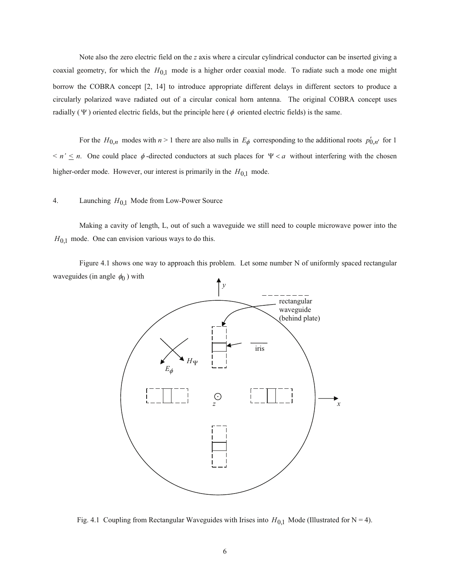Note also the zero electric field on the *z* axis where a circular cylindrical conductor can be inserted giving a coaxial geometry, for which the  $H_{0,1}$  mode is a higher order coaxial mode. To radiate such a mode one might borrow the COBRA concept [2, 14] to introduce appropriate different delays in different sectors to produce a circularly polarized wave radiated out of a circular conical horn antenna. The original COBRA concept uses radially ( $\Psi$ ) oriented electric fields, but the principle here ( $\phi$  oriented electric fields) is the same.

For the  $H_{0,n}$  modes with  $n > 1$  there are also nulls in  $E_{\phi}$  corresponding to the additional roots  $p'_{0,n'}$  for 1  $n' \leq n$ . One could place  $\phi$ -directed conductors at such places for  $\Psi < a$  without interfering with the chosen higher-order mode. However, our interest is primarily in the  $H_{0,1}$  mode.

## 4. Launching *H*0,1 Mode from Low-Power Source

 Making a cavity of length, L, out of such a waveguide we still need to couple microwave power into the  $H_{0,1}$  mode. One can envision various ways to do this.

 Figure 4.1 shows one way to approach this problem. Let some number N of uniformly spaced rectangular waveguides (in angle  $\phi_0$ ) with



Fig. 4.1 Coupling from Rectangular Waveguides with Irises into  $H_{0,1}$  Mode (Illustrated for N = 4).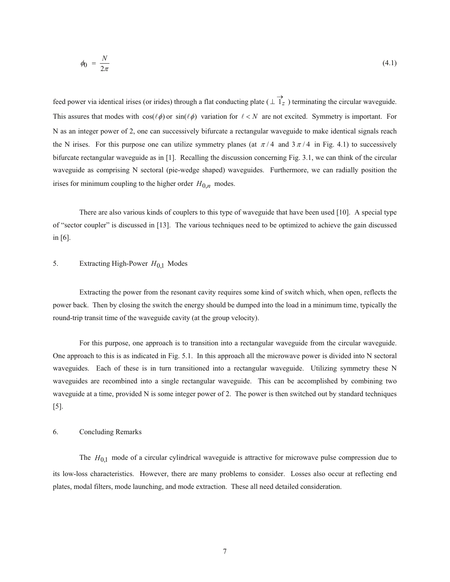$$
\phi_0 = \frac{N}{2\pi} \tag{4.1}
$$

feed power via identical irises (or irides) through a flat conducting plate ( $\perp$  1<sub>z</sub>  $\perp$   $\rightarrow$  1<sub>z</sub>) terminating the circular waveguide. This assures that modes with  $cos(\ell \phi)$  or  $sin(\ell \phi)$  variation for  $\ell < N$  are not excited. Symmetry is important. For N as an integer power of 2, one can successively bifurcate a rectangular waveguide to make identical signals reach the N irises. For this purpose one can utilize symmetry planes (at  $\pi/4$  and  $3\pi/4$  in Fig. 4.1) to successively bifurcate rectangular waveguide as in [1]. Recalling the discussion concerning Fig. 3.1, we can think of the circular waveguide as comprising N sectoral (pie-wedge shaped) waveguides. Furthermore, we can radially position the irises for minimum coupling to the higher order  $H_{0,n}$  modes.

 There are also various kinds of couplers to this type of waveguide that have been used [10]. A special type of "sector coupler" is discussed in [13]. The various techniques need to be optimized to achieve the gain discussed in [6].

### 5. Extracting High-Power *H*<sub>0,1</sub> Modes

 Extracting the power from the resonant cavity requires some kind of switch which, when open, reflects the power back. Then by closing the switch the energy should be dumped into the load in a minimum time, typically the round-trip transit time of the waveguide cavity (at the group velocity).

 For this purpose, one approach is to transition into a rectangular waveguide from the circular waveguide. One approach to this is as indicated in Fig. 5.1. In this approach all the microwave power is divided into N sectoral waveguides. Each of these is in turn transitioned into a rectangular waveguide. Utilizing symmetry these N waveguides are recombined into a single rectangular waveguide. This can be accomplished by combining two waveguide at a time, provided N is some integer power of 2. The power is then switched out by standard techniques [5].

#### 6. Concluding Remarks

The  $H_{0,1}$  mode of a circular cylindrical waveguide is attractive for microwave pulse compression due to its low-loss characteristics. However, there are many problems to consider. Losses also occur at reflecting end plates, modal filters, mode launching, and mode extraction. These all need detailed consideration.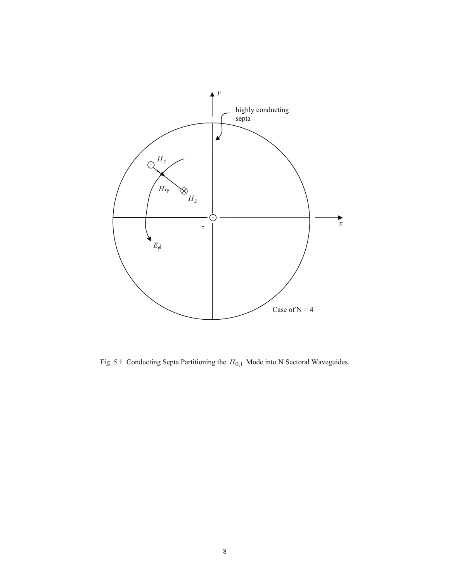

Fig. 5.1 Conducting Septa Partitioning the  $H_{0,1}$  Mode into N Sectoral Waveguides.